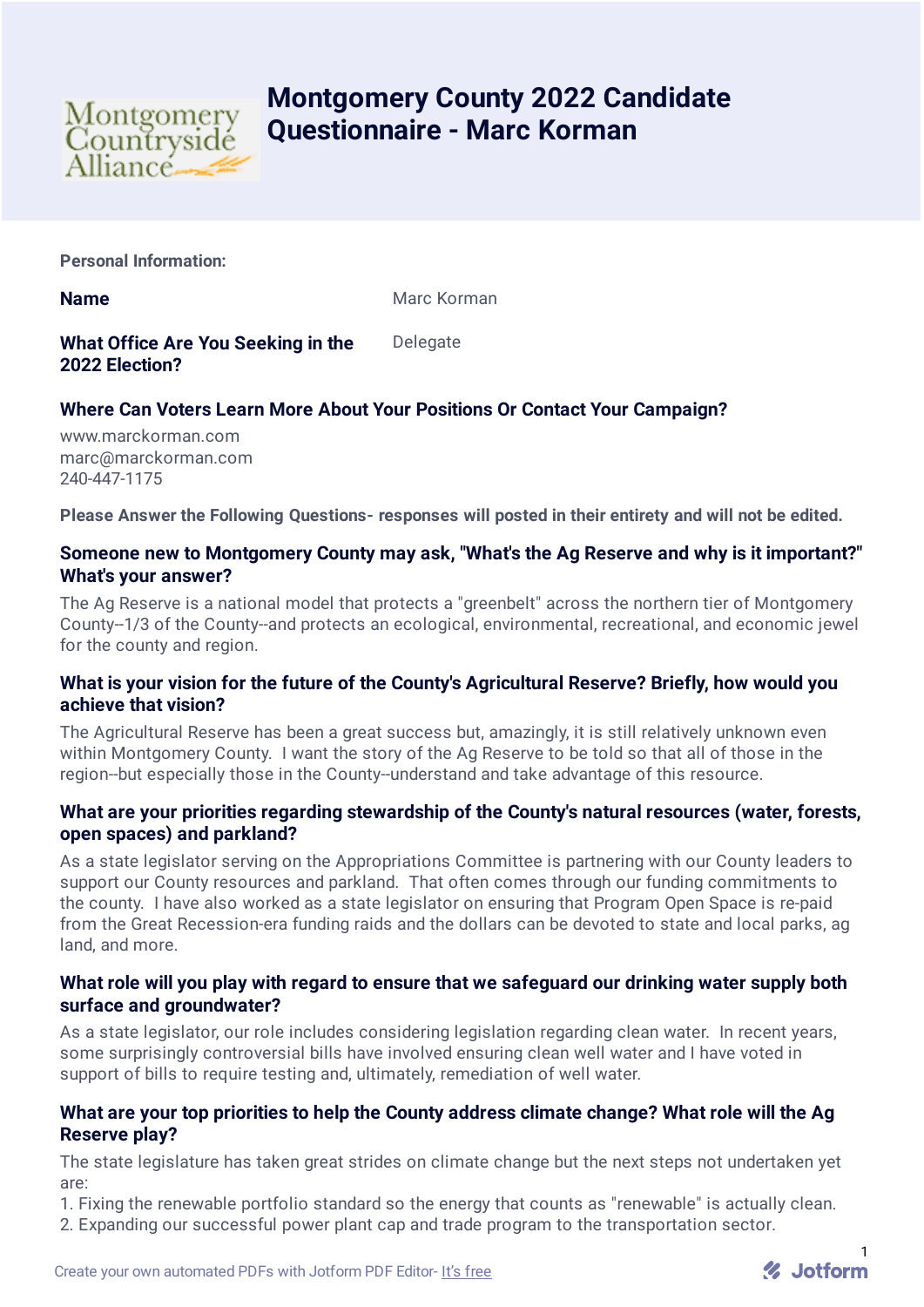

# **Montgomery County 2022 Candidate Questionnaire - Marc Korman**

**Personal Information:**

**Name** Marc Korman Marc Korman

**What Office Are You Seeking in the 2022 Election? Delegate** 

# **Where Can Voters Learn More About Your Positions Or Contact Your Campaign?**

www.marckorman.com marc@marckorman.com 240-447-1175

**Please Answer the Following Questions- responses will posted in their entirety and will not be edited.**

# **Someone new to Montgomery County may ask, "What's the Ag Reserve and why is it important?" What's your answer?**

The Ag Reserve is a national model that protects a "greenbelt" across the northern tier of Montgomery County--1/3 of the County--and protects an ecological, environmental, recreational, and economic jewel for the county and region.

# **What is your vision for the future of the County's Agricultural Reserve? Briefly, how would you achieve that vision?**

The Agricultural Reserve has been a great success but, amazingly, it is still relatively unknown even within Montgomery County. I want the story of the Ag Reserve to be told so that all of those in the region--but especially those in the County--understand and take advantage of this resource.

# **What are your priorities regarding stewardship of the County's natural resources (water, forests, open spaces) and parkland?**

As a state legislator serving on the Appropriations Committee is partnering with our County leaders to support our County resources and parkland. That often comes through our funding commitments to the county. I have also worked as a state legislator on ensuring that Program Open Space is re-paid from the Great Recession-era funding raids and the dollars can be devoted to state and local parks, ag land, and more.

#### **What role will you play with regard to ensure that we safeguard our drinking water supply both surface and groundwater?**

As a state legislator, our role includes considering legislation regarding clean water. In recent years, some surprisingly controversial bills have involved ensuring clean well water and I have voted in support of bills to require testing and, ultimately, remediation of well water.

#### **What are your top priorities to help the County address climate change? What role will the Ag Reserve play?**

The state legislature has taken great strides on climate change but the next steps not undertaken yet are:

1. Fixing the renewable portfolio standard so the energy that counts as "renewable" is actually clean.

2. Expanding our successful power plant cap and trade program to the transportation sector.